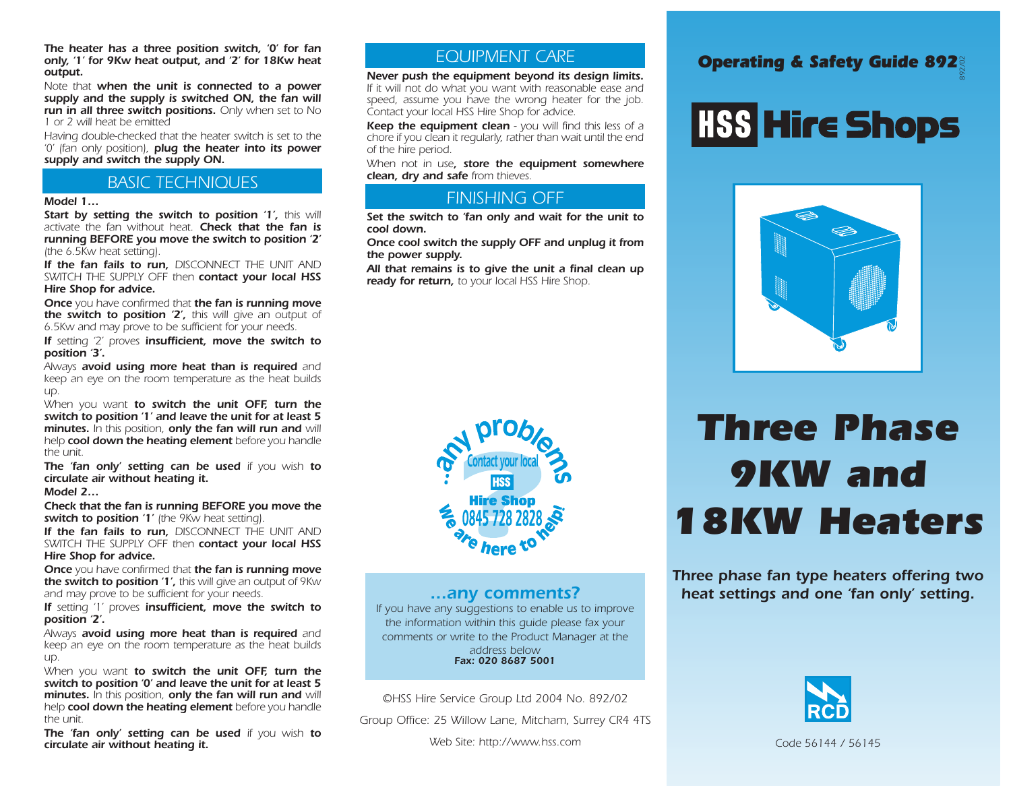*The heater has a three position switch, '0' for fan only, '1' for 9Kw heat output, and '2' for 18Kw heat output.*

*Note that when the unit is connected to a power supply and the supply is switched ON, the fan will run in all three switch positions. Only when set to No 1 or 2 will heat be emitted*

*Having double-checked that the heater switch is set to the '0' (fan only position), plug the heater into its power supply and switch the supply ON.* 

### *BASIC TECHNIQUES*

#### *Model 1…*

*Start by setting the switch to position '1', this will activate the fan without heat. Check that the fan is running BEFORE you move the switch to position '2' (the 6.5Kw heat setting).* 

*If the fan fails to run, DISCONNECT THE UNIT AND SWITCH THE SUPPLY OFF then contact your local HSS Hire Shop for advice.* 

*Once you have confirmed that the fan is running move the switch to position '2', this will give an output of 6.5Kw and may prove to be sufficient for your needs.*

*If setting '2' proves insufficient, move the switch to position '3'.*

*Always avoid using more heat than is required and keep an eye on the room temperature as the heat builds up.*

*When you want to switch the unit OFF, turn the switch to position '1' and leave the unit for at least 5 minutes. In this position, only the fan will run and will help cool down the heating element before you handle the unit.*

*The 'fan only' setting can be used if you wish to circulate air without heating it.*

*Model 2…*

*Check that the fan is running BEFORE you move the switch to position '1' (the 9Kw heat setting).* 

*If the fan fails to run, DISCONNECT THE UNIT AND SWITCH THE SUPPLY OFF then contact your local HSS Hire Shop for advice.* 

*Once you have confirmed that the fan is running move the switch to position '1', this will give an output of 9Kw and may prove to be sufficient for your needs.*

*If setting '1' proves insufficient, move the switch to position '2'.*

*Always avoid using more heat than is required and keep an eye on the room temperature as the heat builds up.*

*When you want to switch the unit OFF, turn the switch to position '0' and leave the unit for at least 5 minutes. In this position, only the fan will run and will help cool down the heating element before you handle the unit.*

*The 'fan only' setting can be used if you wish to circulate air without heating it.*

### *EQUIPMENT CARE*

*Never push the equipment beyond its design limits. If it will not do what you want with reasonable ease and speed, assume you have the wrong heater for the job. Contact your local HSS Hire Shop for advice.*

*Keep the equipment clean - you will find this less of a chore if you clean it regularly, rather than wait until the end of the hire period.* 

*When not in use, store the equipment somewhere clean, dry and safe from thieves.* 

### *FINISHING OFF*

*Set the switch to 'fan only and wait for the unit to cool down.* 

*Once cool switch the supply OFF and unplug it from the power supply.*

*All that remains is to give the unit a final clean up ready for return, to your local HSS Hire Shop.* 



#### *...any comments?*

*If you have any suggestions to enable us to improve the information within this guide please fax your comments or write to the Product Manager at the address below Fax: 020 8687 5001*

*©HSS Hire Service Group Ltd 2004 No. 892/02*

*Group Office: 25 Willow Lane, Mitcham, Surrey CR4 4TS*

### *Operating & Safety Guide 892 892/02*

# **HSS Hire Shops**



## *Three Phase 9KW and 18KW Heaters*

*Three phase fan type heaters offering two heat settings and one 'fan only' setting.*